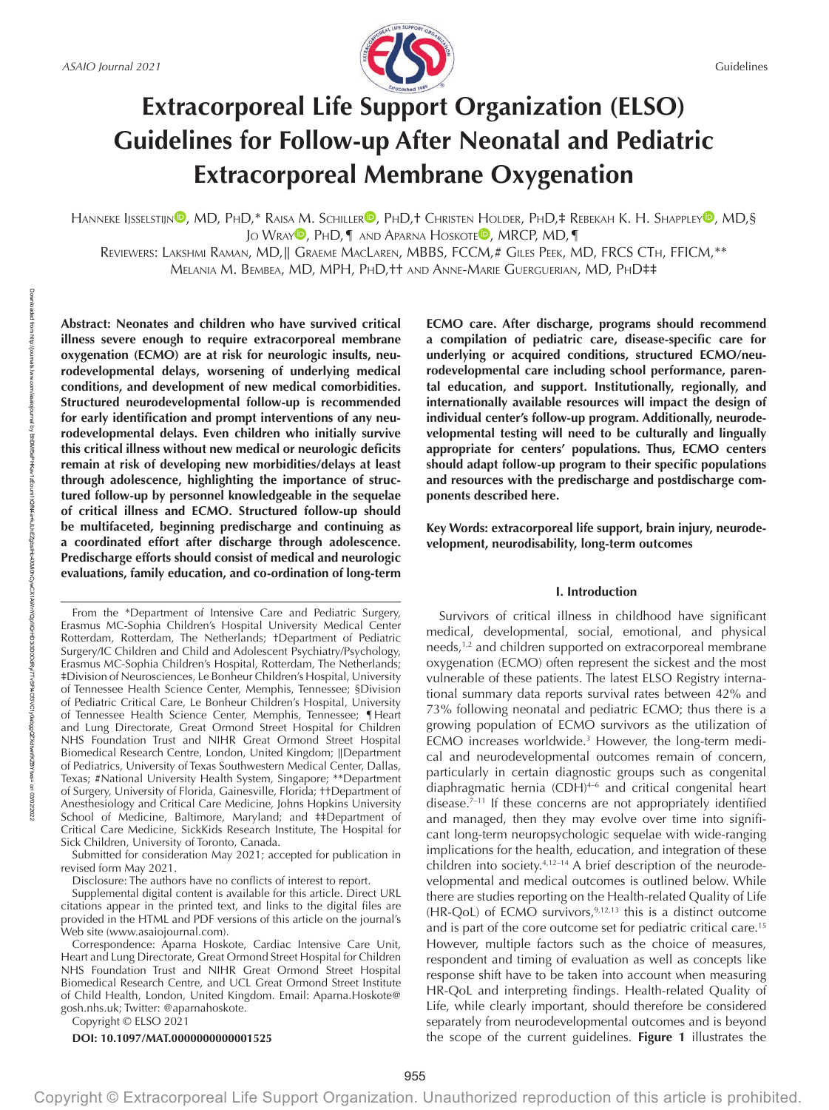

# **Extracorporeal Life Support Organization (ELSO) Guidelines for Follow-up After Neonatal and Pediatric Extracorporeal Membrane Oxygenation**

HA[N](https://orcid.org/0000-0001-5824-3492)NEKE IJSSELSTIJN<sup>O</sup>, MD, PHD,\* [R](https://orcid.org/0000-0002-7027-6948)AISA M. SCHILLER<sup>O</sup>, PHD,† CHRISTEN HOLDER, PHD,‡ REBEKAH K. H. SHAPPLEY<sup>O</sup>, MD,§ JO WRAY<sup>D</sup>[,](https://orcid.org/0000-0003-4760-1199) PhD, **[** AND APARNA HOSKOTE<sup>D</sup>, MRCP, MD, **[** 

REVIEWERS: LAKSHMI RAMAN, MD,|| GRAEME MACLAREN, MBBS, FCCM,# GILES РЕЕК, MD, FRCS СТН, FFICM,\*\* MELANIA M. BEMBEA, MD, MPH, PhD,†† AND ANNE-MARIE GUERGUERIAN, MD, PhD‡‡

**Abstract: Neonates and children who have survived critical illness severe enough to require extracorporeal membrane oxygenation (ECMO) are at risk for neurologic insults, neurodevelopmental delays, worsening of underlying medical conditions, and development of new medical comorbidities. Structured neurodevelopmental follow-up is recommended for early identification and prompt interventions of any neurodevelopmental delays. Even children who initially survive this critical illness without new medical or neurologic deficits remain at risk of developing new morbidities/delays at least through adolescence, highlighting the importance of structured follow-up by personnel knowledgeable in the sequelae of critical illness and ECMO. Structured follow-up should be multifaceted, beginning predischarge and continuing as a coordinated effort after discharge through adolescence. Predischarge efforts should consist of medical and neurologic evaluations, family education, and co-ordination of long-term** 

From the \*Department of Intensive Care and Pediatric Surgery, Erasmus MC-Sophia Children's Hospital University Medical Center Rotterdam, Rotterdam, The Netherlands; †Department of Pediatric Surgery/IC Children and Child and Adolescent Psychiatry/Psychology, Erasmus MC-Sophia Children's Hospital, Rotterdam, The Netherlands; ‡Division of Neurosciences, Le Bonheur Children's Hospital, University of Tennessee Health Science Center, Memphis, Tennessee; §Division of Pediatric Critical Care, Le Bonheur Children's Hospital, University of Tennessee Health Science Center, Memphis, Tennessee; ¶Heart and Lung Directorate, Great Ormond Street Hospital for Children NHS Foundation Trust and NIHR Great Ormond Street Hospital Biomedical Research Centre, London, United Kingdom; ∥Department of Pediatrics, University of Texas Southwestern Medical Center, Dallas, Texas; #National University Health System, Singapore; \*\*Department of Surgery, University of Florida, Gainesville, Florida; ††Department of Anesthesiology and Critical Care Medicine, Johns Hopkins University School of Medicine, Baltimore, Maryland; and ‡‡Department of Critical Care Medicine, SickKids Research Institute, The Hospital for Sick Children, University of Toronto, Canada.

Submitted for consideration May 2021; accepted for publication in revised form May 2021.

Disclosure: The authors have no conflicts of interest to report.

Supplemental digital content is available for this article. Direct URL citations appear in the printed text, and links to the digital files are provided in the HTML and PDF versions of this article on the journal's Web site [\(www.asaiojournal.com](www.asaiojournal.com)).

Correspondence: Aparna Hoskote, Cardiac Intensive Care Unit, Heart and Lung Directorate, Great Ormond Street Hospital for Children NHS Foundation Trust and NIHR Great Ormond Street Hospital Biomedical Research Centre, and UCL Great Ormond Street Institute of Child Health, London, United Kingdom. [Email: Aparna.Hoskote@](mailto:Email:Aparna.Hoskote@gosh.nhs.uk) [gosh.nhs.uk;](mailto:Email:Aparna.Hoskote@gosh.nhs.uk) Twitter: [@aparnahoskote](https://twitter.com/@aparnahoskote).

Copyright © ELSO 2021

**DOI: 10.1097/MAT.0000000000001525**

**ECMO care. After discharge, programs should recommend a compilation of pediatric care, disease-specific care for underlying or acquired conditions, structured ECMO/neurodevelopmental care including school performance, parental education, and support. Institutionally, regionally, and internationally available resources will impact the design of individual center's follow-up program. Additionally, neurodevelopmental testing will need to be culturally and lingually appropriate for centers' populations. Thus, ECMO centers should adapt follow-up program to their specific populations and resources with the predischarge and postdischarge components described here.**

**Key Words: extracorporeal life support, brain injury, neurodevelopment, neurodisability, long-term outcomes**

## **I. Introduction**

Survivors of critical illness in childhood have significant medical, developmental, social, emotional, and physical needs,<sup>1,2</sup> and children supported on extracorporeal membrane oxygenation (ECMO) often represent the sickest and the most vulnerable of these patients. The latest ELSO Registry international summary data reports survival rates between 42% and 73% following neonatal and pediatric ECMO; thus there is a growing population of ECMO survivors as the utilization of ECMO increases worldwide.3 However, the long-term medical and neurodevelopmental outcomes remain of concern, particularly in certain diagnostic groups such as congenital diaphragmatic hernia (CDH)4–6 and critical congenital heart disease.7–11 If these concerns are not appropriately identified and managed, then they may evolve over time into significant long-term neuropsychologic sequelae with wide-ranging implications for the health, education, and integration of these children into society.4,12–14 A brief description of the neurodevelopmental and medical outcomes is outlined below. While there are studies reporting on the Health-related Quality of Life (HR-QoL) of ECMO survivors,  $9,12,13$  this is a distinct outcome and is part of the core outcome set for pediatric critical care.15 However, multiple factors such as the choice of measures, respondent and timing of evaluation as well as concepts like response shift have to be taken into account when measuring HR-QoL and interpreting findings. Health-related Quality of Life, while clearly important, should therefore be considered separately from neurodevelopmental outcomes and is beyond the scope of the current guidelines. **Figure 1** illustrates the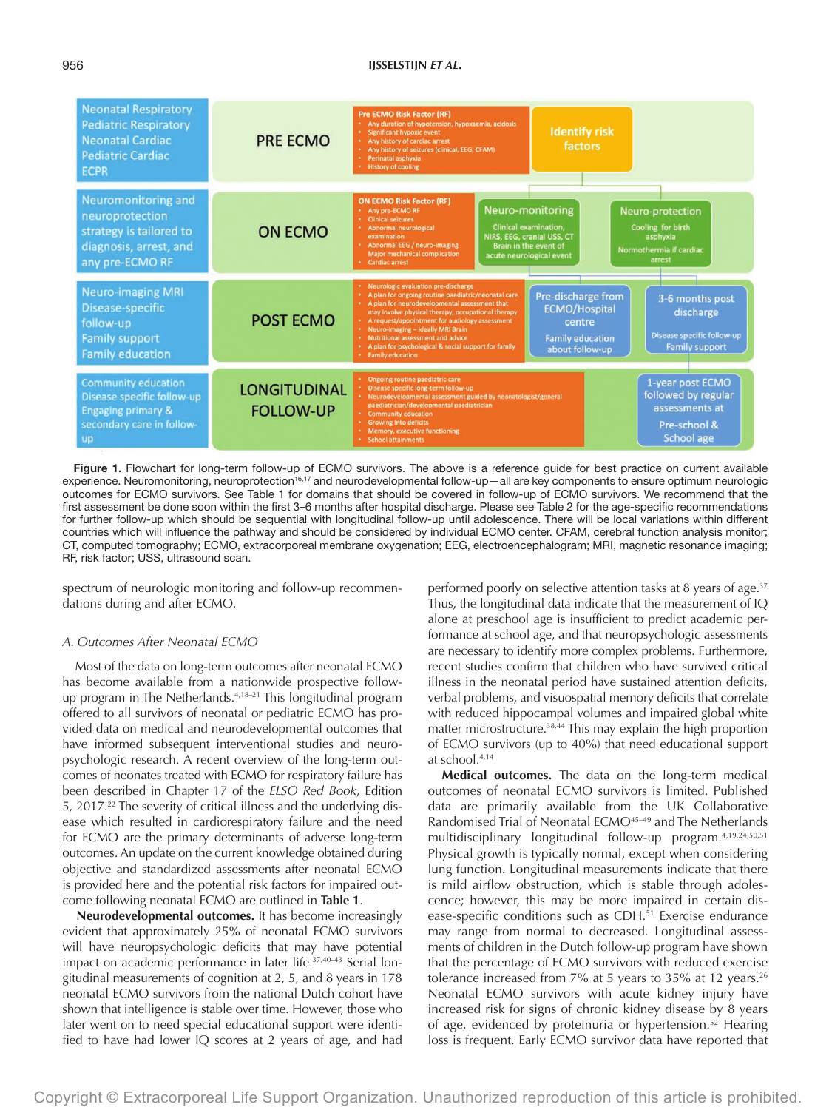### 956 **IJSSELSTIJN** *ET AL***.**



Figure 1. Flowchart for long-term follow-up of ECMO survivors. The above is a reference guide for best practice on current available experience. Neuromonitoring, neuroprotection<sup>16,17</sup> and neurodevelopmental follow-up—all are key components to ensure optimum neurologic outcomes for ECMO survivors. See Table 1 for domains that should be covered in follow-up of ECMO survivors. We recommend that the first assessment be done soon within the first 3–6 months after hospital discharge. Please see Table 2 for the age-specific recommendations for further follow-up which should be sequential with longitudinal follow-up until adolescence. There will be local variations within different countries which will influence the pathway and should be considered by individual ECMO center. CFAM, cerebral function analysis monitor; CT, computed tomography; ECMO, extracorporeal membrane oxygenation; EEG, electroencephalogram; MRI, magnetic resonance imaging; RF, risk factor; USS, ultrasound scan.

spectrum of neurologic monitoring and follow-up recommendations during and after ECMO.

#### *A. Outcomes After Neonatal ECMO*

Most of the data on long-term outcomes after neonatal ECMO has become available from a nationwide prospective followup program in The Netherlands.4,18–21 This longitudinal program offered to all survivors of neonatal or pediatric ECMO has provided data on medical and neurodevelopmental outcomes that have informed subsequent interventional studies and neuropsychologic research. A recent overview of the long-term outcomes of neonates treated with ECMO for respiratory failure has been described in Chapter 17 of the *ELSO Red Book*, Edition 5, 2017.<sup>22</sup> The severity of critical illness and the underlying disease which resulted in cardiorespiratory failure and the need for ECMO are the primary determinants of adverse long-term outcomes. An update on the current knowledge obtained during objective and standardized assessments after neonatal ECMO is provided here and the potential risk factors for impaired outcome following neonatal ECMO are outlined in **Table 1**.

**Neurodevelopmental outcomes.** It has become increasingly evident that approximately 25% of neonatal ECMO survivors will have neuropsychologic deficits that may have potential impact on academic performance in later life.37,40–43 Serial longitudinal measurements of cognition at 2, 5, and 8 years in 178 neonatal ECMO survivors from the national Dutch cohort have shown that intelligence is stable over time. However, those who later went on to need special educational support were identified to have had lower IQ scores at 2 years of age, and had

performed poorly on selective attention tasks at 8 years of age.<sup>37</sup> Thus, the longitudinal data indicate that the measurement of IQ alone at preschool age is insufficient to predict academic performance at school age, and that neuropsychologic assessments are necessary to identify more complex problems. Furthermore, recent studies confirm that children who have survived critical illness in the neonatal period have sustained attention deficits, verbal problems, and visuospatial memory deficits that correlate with reduced hippocampal volumes and impaired global white matter microstructure.<sup>38,44</sup> This may explain the high proportion of ECMO survivors (up to 40%) that need educational support at school.4,14

**Medical outcomes.** The data on the long-term medical outcomes of neonatal ECMO survivors is limited. Published data are primarily available from the UK Collaborative Randomised Trial of Neonatal ECMO<sup>45-49</sup> and The Netherlands multidisciplinary longitudinal follow-up program.4,19,24,50,51 Physical growth is typically normal, except when considering lung function. Longitudinal measurements indicate that there is mild airflow obstruction, which is stable through adolescence; however, this may be more impaired in certain disease-specific conditions such as CDH.<sup>51</sup> Exercise endurance may range from normal to decreased. Longitudinal assessments of children in the Dutch follow-up program have shown that the percentage of ECMO survivors with reduced exercise tolerance increased from  $7\%$  at 5 years to 35% at 12 years.<sup>26</sup> Neonatal ECMO survivors with acute kidney injury have increased risk for signs of chronic kidney disease by 8 years of age, evidenced by proteinuria or hypertension.<sup>52</sup> Hearing loss is frequent. Early ECMO survivor data have reported that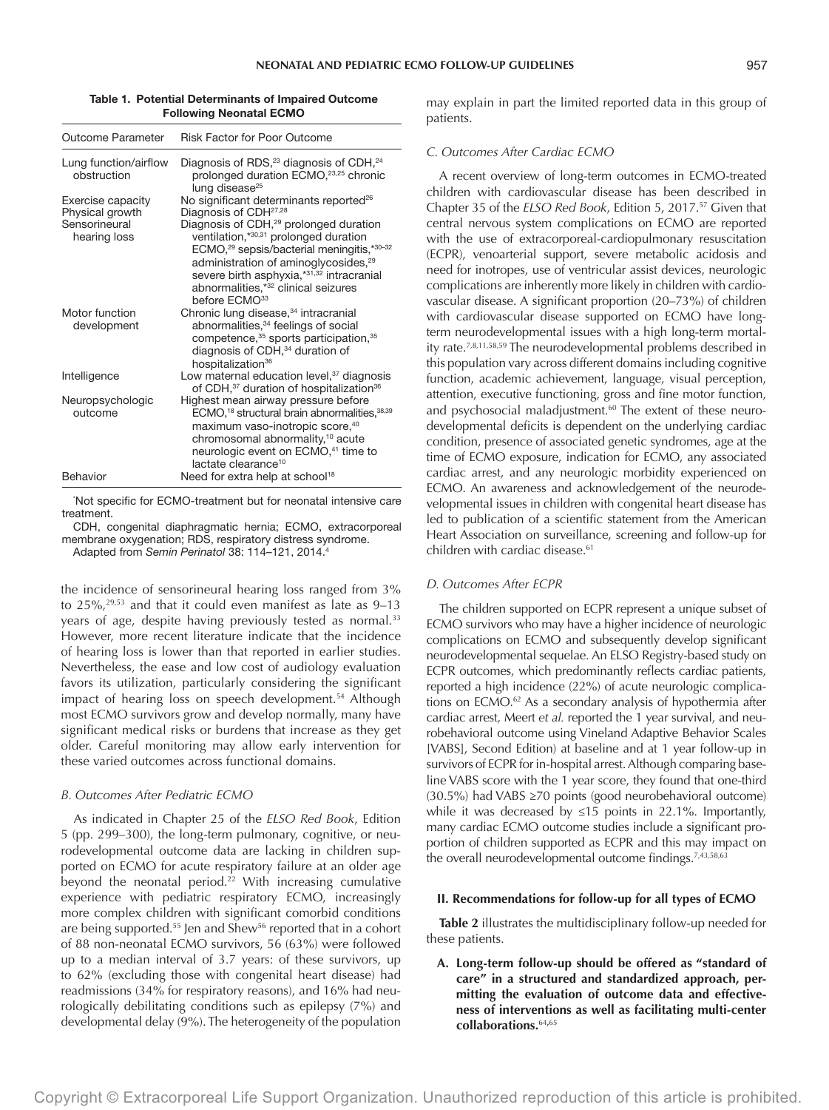#### Table 1. Potential Determinants of Impaired Outcome Following Neonatal ECMO

| Outcome Parameter                    | <b>Risk Factor for Poor Outcome</b>                                                                                                                                                                                                                                                                                                     |  |  |
|--------------------------------------|-----------------------------------------------------------------------------------------------------------------------------------------------------------------------------------------------------------------------------------------------------------------------------------------------------------------------------------------|--|--|
| Lung function/airflow<br>obstruction | Diagnosis of RDS, <sup>23</sup> diagnosis of CDH, <sup>24</sup><br>prolonged duration ECMO, <sup>23,25</sup> chronic<br>lung disease <sup>25</sup>                                                                                                                                                                                      |  |  |
| Exercise capacity<br>Physical growth | No significant determinants reported <sup>26</sup><br>Diagnosis of CDH <sup>27,28</sup>                                                                                                                                                                                                                                                 |  |  |
| Sensorineural<br>hearing loss        | Diagnosis of CDH, <sup>29</sup> prolonged duration<br>ventilation, *30,31 prolonged duration<br>ECMO, <sup>29</sup> sepsis/bacterial meningitis,*30-32<br>administration of aminoglycosides, <sup>29</sup><br>severe birth asphyxia,*31,32 intracranial<br>abnormalities,* <sup>32</sup> clinical seizures<br>before ECMO <sup>33</sup> |  |  |
| Motor function<br>development        | Chronic lung disease, <sup>34</sup> intracranial<br>abnormalities, <sup>34</sup> feelings of social<br>competence, 35 sports participation, 35<br>diagnosis of CDH, <sup>34</sup> duration of<br>hospitalization <sup>36</sup>                                                                                                          |  |  |
| Intelligence                         | Low maternal education level, <sup>37</sup> diagnosis<br>of CDH, <sup>37</sup> duration of hospitalization <sup>36</sup>                                                                                                                                                                                                                |  |  |
| Neuropsychologic<br>outcome          | Highest mean airway pressure before<br>ECMO, <sup>18</sup> structural brain abnormalities, 38,39<br>maximum vaso-inotropic score, 40<br>chromosomal abnormality, <sup>10</sup> acute<br>neurologic event on ECMO, <sup>41</sup> time to<br>lactate clearance <sup>10</sup>                                                              |  |  |
| Behavior                             | Need for extra help at school <sup>18</sup>                                                                                                                                                                                                                                                                                             |  |  |

'Not specific for ECMO-treatment but for neonatal intensive care treatment.

CDH, congenital diaphragmatic hernia; ECMO, extracorporeal membrane oxygenation; RDS, respiratory distress syndrome.

Adapted from *Semin Perinatol* 38: 114–121, 2014.4

the incidence of sensorineural hearing loss ranged from 3% to  $25\%$ ,<sup>29,53</sup> and that it could even manifest as late as  $9-13$ years of age, despite having previously tested as normal.<sup>33</sup> However, more recent literature indicate that the incidence of hearing loss is lower than that reported in earlier studies. Nevertheless, the ease and low cost of audiology evaluation favors its utilization, particularly considering the significant impact of hearing loss on speech development.<sup>54</sup> Although most ECMO survivors grow and develop normally, many have significant medical risks or burdens that increase as they get older. Careful monitoring may allow early intervention for these varied outcomes across functional domains.

## *B. Outcomes After Pediatric ECMO*

As indicated in Chapter 25 of the *ELSO Red Book*, Edition 5 (pp. 299–300), the long-term pulmonary, cognitive, or neurodevelopmental outcome data are lacking in children supported on ECMO for acute respiratory failure at an older age beyond the neonatal period.<sup>22</sup> With increasing cumulative experience with pediatric respiratory ECMO, increasingly more complex children with significant comorbid conditions are being supported.<sup>55</sup> Jen and Shew<sup>56</sup> reported that in a cohort of 88 non-neonatal ECMO survivors, 56 (63%) were followed up to a median interval of 3.7 years: of these survivors, up to 62% (excluding those with congenital heart disease) had readmissions (34% for respiratory reasons), and 16% had neurologically debilitating conditions such as epilepsy (7%) and developmental delay (9%). The heterogeneity of the population may explain in part the limited reported data in this group of patients.

## *C. Outcomes After Cardiac ECMO*

A recent overview of long-term outcomes in ECMO-treated children with cardiovascular disease has been described in Chapter 35 of the *ELSO Red Book*, Edition 5, 2017.57 Given that central nervous system complications on ECMO are reported with the use of extracorporeal-cardiopulmonary resuscitation (ECPR), venoarterial support, severe metabolic acidosis and need for inotropes, use of ventricular assist devices, neurologic complications are inherently more likely in children with cardiovascular disease. A significant proportion (20–73%) of children with cardiovascular disease supported on ECMO have longterm neurodevelopmental issues with a high long-term mortality rate.7,8,11,58,59 The neurodevelopmental problems described in this population vary across different domains including cognitive function, academic achievement, language, visual perception, attention, executive functioning, gross and fine motor function, and psychosocial maladjustment.<sup>60</sup> The extent of these neurodevelopmental deficits is dependent on the underlying cardiac condition, presence of associated genetic syndromes, age at the time of ECMO exposure, indication for ECMO, any associated cardiac arrest, and any neurologic morbidity experienced on ECMO. An awareness and acknowledgement of the neurodevelopmental issues in children with congenital heart disease has led to publication of a scientific statement from the American Heart Association on surveillance, screening and follow-up for children with cardiac disease.<sup>61</sup>

## *D. Outcomes After ECPR*

The children supported on ECPR represent a unique subset of ECMO survivors who may have a higher incidence of neurologic complications on ECMO and subsequently develop significant neurodevelopmental sequelae. An ELSO Registry-based study on ECPR outcomes, which predominantly reflects cardiac patients, reported a high incidence (22%) of acute neurologic complications on ECMO.<sup>62</sup> As a secondary analysis of hypothermia after cardiac arrest, Meert *et al.* reported the 1 year survival, and neurobehavioral outcome using Vineland Adaptive Behavior Scales [VABS], Second Edition) at baseline and at 1 year follow-up in survivors of ECPR for in-hospital arrest. Although comparing baseline VABS score with the 1 year score, they found that one-third (30.5%) had VABS ≥70 points (good neurobehavioral outcome) while it was decreased by ≤15 points in 22.1%. Importantly, many cardiac ECMO outcome studies include a significant proportion of children supported as ECPR and this may impact on the overall neurodevelopmental outcome findings.<sup>7,43,58,63</sup>

#### **II. Recommendations for follow-up for all types of ECMO**

**Table 2** illustrates the multidisciplinary follow-up needed for these patients.

**A. Long-term follow-up should be offered as "standard of care" in a structured and standardized approach, permitting the evaluation of outcome data and effectiveness of interventions as well as facilitating multi-center collaborations.**<sup>64</sup>**,**<sup>65</sup>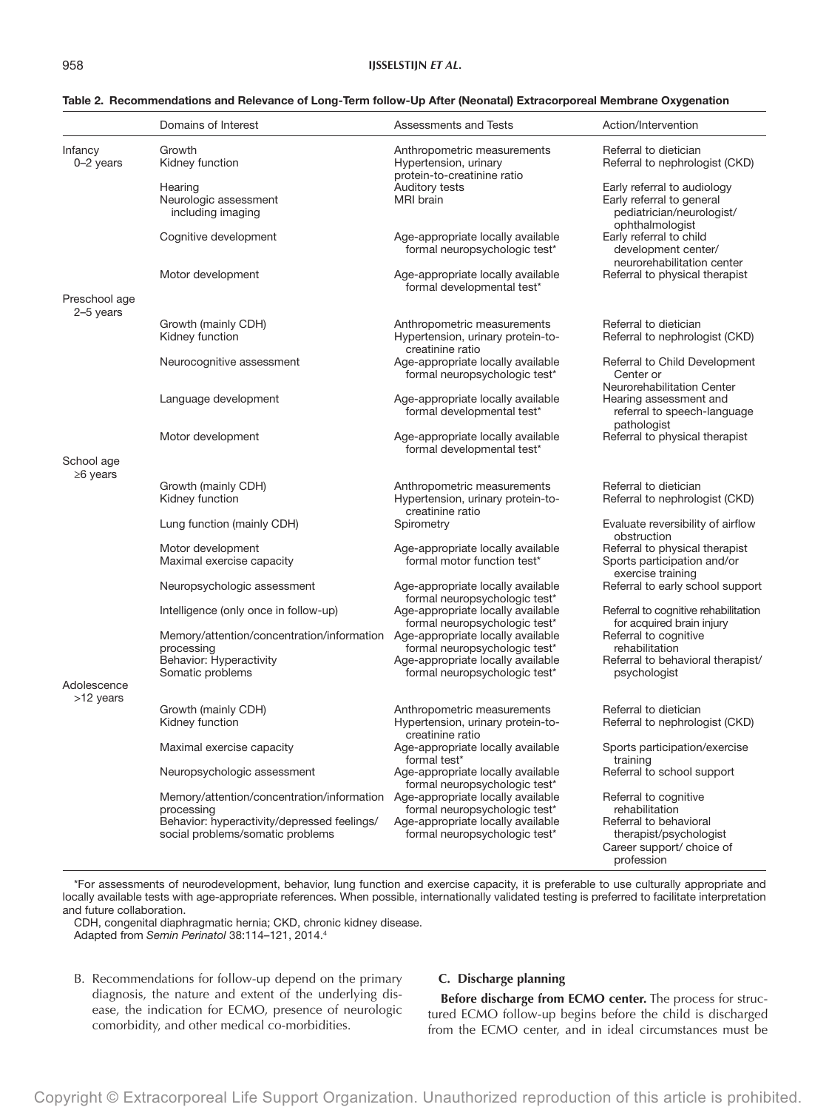|                                             | Domains of Interest                                                                           | Assessments and Tests                                                                | Action/Intervention                                                                                      |
|---------------------------------------------|-----------------------------------------------------------------------------------------------|--------------------------------------------------------------------------------------|----------------------------------------------------------------------------------------------------------|
| Infancy<br>Growth<br>$0-2$ years<br>Hearing | Kidney function                                                                               | Anthropometric measurements<br>Hypertension, urinary                                 | Referral to dietician<br>Referral to nephrologist (CKD)                                                  |
|                                             | Neurologic assessment<br>including imaging                                                    | protein-to-creatinine ratio<br><b>Auditory tests</b><br><b>MRI</b> brain             | Early referral to audiology<br>Early referral to general<br>pediatrician/neurologist/<br>ophthalmologist |
|                                             | Cognitive development                                                                         | Age-appropriate locally available<br>formal neuropsychologic test*                   | Early referral to child<br>development center/<br>neurorehabilitation center                             |
|                                             | Motor development                                                                             | Age-appropriate locally available<br>formal developmental test*                      | Referral to physical therapist                                                                           |
| Preschool age<br>2-5 years                  |                                                                                               |                                                                                      |                                                                                                          |
|                                             | Growth (mainly CDH)<br>Kidney function                                                        | Anthropometric measurements<br>Hypertension, urinary protein-to-<br>creatinine ratio | Referral to dietician<br>Referral to nephrologist (CKD)                                                  |
|                                             | Neurocognitive assessment                                                                     | Age-appropriate locally available<br>formal neuropsychologic test*                   | Referral to Child Development<br>Center or                                                               |
|                                             | Language development                                                                          | Age-appropriate locally available<br>formal developmental test*                      | Neurorehabilitation Center<br>Hearing assessment and<br>referral to speech-language<br>pathologist       |
|                                             | Motor development                                                                             | Age-appropriate locally available<br>formal developmental test*                      | Referral to physical therapist                                                                           |
| School age                                  |                                                                                               |                                                                                      |                                                                                                          |
| $\geq 6$ years                              | Growth (mainly CDH)                                                                           | Anthropometric measurements                                                          | Referral to dietician                                                                                    |
|                                             | Kidney function                                                                               | Hypertension, urinary protein-to-<br>creatinine ratio                                | Referral to nephrologist (CKD)                                                                           |
|                                             | Lung function (mainly CDH)                                                                    | Spirometry                                                                           | Evaluate reversibility of airflow<br>obstruction                                                         |
|                                             | Motor development                                                                             | Age-appropriate locally available                                                    | Referral to physical therapist                                                                           |
|                                             | Maximal exercise capacity                                                                     | formal motor function test*                                                          | Sports participation and/or<br>exercise training                                                         |
|                                             | Neuropsychologic assessment                                                                   | Age-appropriate locally available<br>formal neuropsychologic test*                   | Referral to early school support                                                                         |
|                                             | Intelligence (only once in follow-up)                                                         | Age-appropriate locally available<br>formal neuropsychologic test*                   | Referral to cognitive rehabilitation<br>for acquired brain injury                                        |
|                                             | Memory/attention/concentration/information<br>processing                                      | Age-appropriate locally available<br>formal neuropsychologic test*                   | Referral to cognitive<br>rehabilitation                                                                  |
|                                             | Behavior: Hyperactivity                                                                       | Age-appropriate locally available                                                    | Referral to behavioral therapist/                                                                        |
|                                             | Somatic problems                                                                              | formal neuropsychologic test*                                                        | psychologist                                                                                             |
| Adolescence<br>>12 years                    |                                                                                               |                                                                                      |                                                                                                          |
|                                             | Growth (mainly CDH)                                                                           | Anthropometric measurements                                                          | Referral to dietician                                                                                    |
|                                             | Kidney function                                                                               | Hypertension, urinary protein-to-<br>creatinine ratio                                | Referral to nephrologist (CKD)                                                                           |
|                                             | Maximal exercise capacity                                                                     | Age-appropriate locally available<br>formal test*                                    | Sports participation/exercise<br>training                                                                |
|                                             | Neuropsychologic assessment                                                                   | Age-appropriate locally available<br>formal neuropsychologic test*                   | Referral to school support                                                                               |
|                                             | Memory/attention/concentration/information                                                    | Age-appropriate locally available<br>formal neuropsychologic test*                   | Referral to cognitive<br>rehabilitation                                                                  |
|                                             | processing<br>Behavior: hyperactivity/depressed feelings/<br>social problems/somatic problems | Age-appropriate locally available<br>formal neuropsychologic test*                   | Referral to behavioral<br>therapist/psychologist<br>Career support/ choice of<br>profession              |

## Table 2. Recommendations and Relevance of Long-Term follow-Up After (Neonatal) Extracorporeal Membrane Oxygenation

\*For assessments of neurodevelopment, behavior, lung function and exercise capacity, it is preferable to use culturally appropriate and locally available tests with age-appropriate references. When possible, internationally validated testing is preferred to facilitate interpretation and future collaboration.

CDH, congenital diaphragmatic hernia; CKD, chronic kidney disease. Adapted from *Semin Perinatol* 38:114–121, 2014.4

B. Recommendations for follow-up depend on the primary diagnosis, the nature and extent of the underlying disease, the indication for ECMO, presence of neurologic comorbidity, and other medical co-morbidities.

## **C. Discharge planning**

**Before discharge from ECMO center.** The process for structured ECMO follow-up begins before the child is discharged from the ECMO center, and in ideal circumstances must be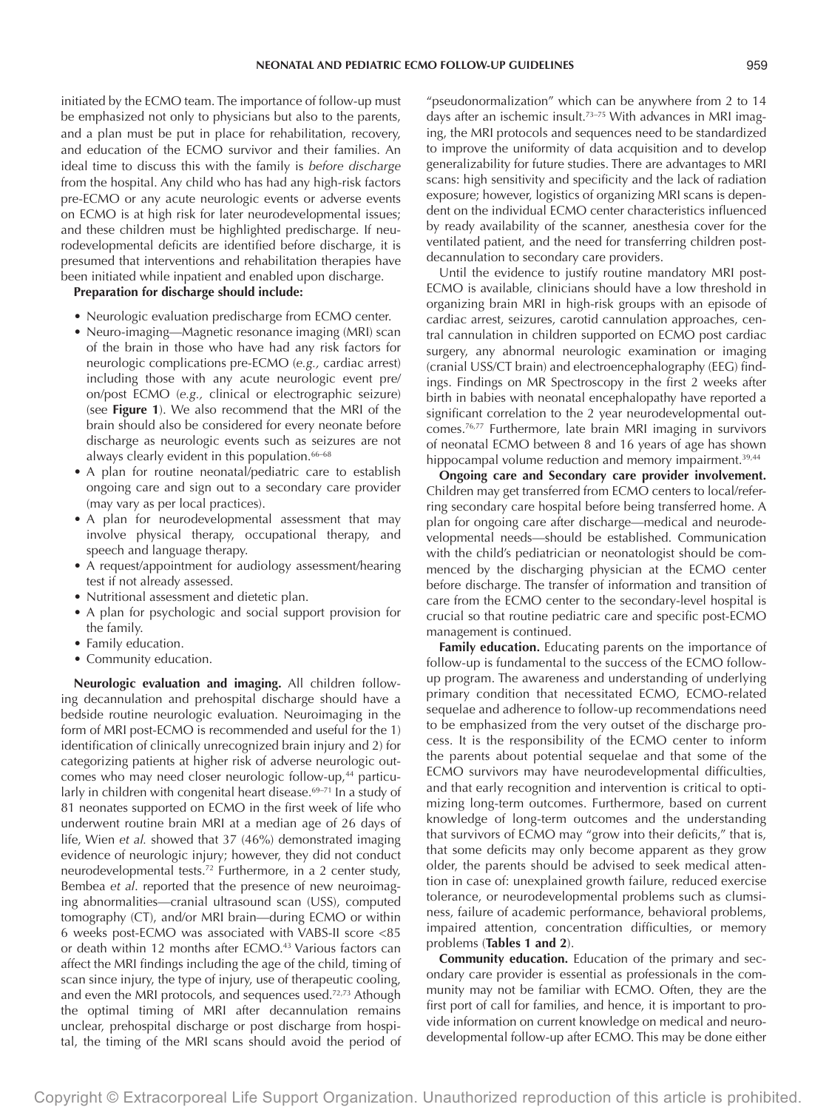initiated by the ECMO team. The importance of follow-up must be emphasized not only to physicians but also to the parents, and a plan must be put in place for rehabilitation, recovery, and education of the ECMO survivor and their families. An ideal time to discuss this with the family is *before discharge* from the hospital. Any child who has had any high-risk factors pre-ECMO or any acute neurologic events or adverse events on ECMO is at high risk for later neurodevelopmental issues; and these children must be highlighted predischarge. If neurodevelopmental deficits are identified before discharge, it is presumed that interventions and rehabilitation therapies have been initiated while inpatient and enabled upon discharge.

**Preparation for discharge should include:**

- Neurologic evaluation predischarge from ECMO center.
- Neuro-imaging—Magnetic resonance imaging (MRI) scan of the brain in those who have had any risk factors for neurologic complications pre-ECMO (*e.g.,* cardiac arrest) including those with any acute neurologic event pre/ on/post ECMO (*e.g.,* clinical or electrographic seizure) (see **Figure 1**). We also recommend that the MRI of the brain should also be considered for every neonate before discharge as neurologic events such as seizures are not always clearly evident in this population.<sup>66-68</sup>
- A plan for routine neonatal/pediatric care to establish ongoing care and sign out to a secondary care provider (may vary as per local practices).
- A plan for neurodevelopmental assessment that may involve physical therapy, occupational therapy, and speech and language therapy.
- A request/appointment for audiology assessment/hearing test if not already assessed.
- Nutritional assessment and dietetic plan.
- A plan for psychologic and social support provision for the family.
- Family education.
- Community education.

**Neurologic evaluation and imaging.** All children following decannulation and prehospital discharge should have a bedside routine neurologic evaluation. Neuroimaging in the form of MRI post-ECMO is recommended and useful for the 1) identification of clinically unrecognized brain injury and 2) for categorizing patients at higher risk of adverse neurologic outcomes who may need closer neurologic follow-up,<sup>44</sup> particularly in children with congenital heart disease.<sup>69-71</sup> In a study of 81 neonates supported on ECMO in the first week of life who underwent routine brain MRI at a median age of 26 days of life, Wien *et al.* showed that 37 (46%) demonstrated imaging evidence of neurologic injury; however, they did not conduct neurodevelopmental tests.<sup>72</sup> Furthermore, in a 2 center study, Bembea *et al*. reported that the presence of new neuroimaging abnormalities—cranial ultrasound scan (USS), computed tomography (CT), and/or MRI brain—during ECMO or within 6 weeks post-ECMO was associated with VABS-II score <85 or death within 12 months after ECMO.<sup>43</sup> Various factors can affect the MRI findings including the age of the child, timing of scan since injury, the type of injury, use of therapeutic cooling, and even the MRI protocols, and sequences used.<sup>72,73</sup> Athough the optimal timing of MRI after decannulation remains unclear, prehospital discharge or post discharge from hospital, the timing of the MRI scans should avoid the period of

"pseudonormalization" which can be anywhere from 2 to 14 days after an ischemic insult.73–75 With advances in MRI imaging, the MRI protocols and sequences need to be standardized to improve the uniformity of data acquisition and to develop generalizability for future studies. There are advantages to MRI scans: high sensitivity and specificity and the lack of radiation exposure; however, logistics of organizing MRI scans is dependent on the individual ECMO center characteristics influenced by ready availability of the scanner, anesthesia cover for the ventilated patient, and the need for transferring children postdecannulation to secondary care providers.

Until the evidence to justify routine mandatory MRI post-ECMO is available, clinicians should have a low threshold in organizing brain MRI in high-risk groups with an episode of cardiac arrest, seizures, carotid cannulation approaches, central cannulation in children supported on ECMO post cardiac surgery, any abnormal neurologic examination or imaging (cranial USS/CT brain) and electroencephalography (EEG) findings. Findings on MR Spectroscopy in the first 2 weeks after birth in babies with neonatal encephalopathy have reported a significant correlation to the 2 year neurodevelopmental outcomes.76,77 Furthermore, late brain MRI imaging in survivors of neonatal ECMO between 8 and 16 years of age has shown hippocampal volume reduction and memory impairment.<sup>39,44</sup>

**Ongoing care and Secondary care provider involvement.** Children may get transferred from ECMO centers to local/referring secondary care hospital before being transferred home. A plan for ongoing care after discharge—medical and neurodevelopmental needs—should be established. Communication with the child's pediatrician or neonatologist should be commenced by the discharging physician at the ECMO center before discharge. The transfer of information and transition of care from the ECMO center to the secondary-level hospital is crucial so that routine pediatric care and specific post-ECMO management is continued.

**Family education.** Educating parents on the importance of follow-up is fundamental to the success of the ECMO followup program. The awareness and understanding of underlying primary condition that necessitated ECMO, ECMO-related sequelae and adherence to follow-up recommendations need to be emphasized from the very outset of the discharge process. It is the responsibility of the ECMO center to inform the parents about potential sequelae and that some of the ECMO survivors may have neurodevelopmental difficulties, and that early recognition and intervention is critical to optimizing long-term outcomes. Furthermore, based on current knowledge of long-term outcomes and the understanding that survivors of ECMO may "grow into their deficits," that is, that some deficits may only become apparent as they grow older, the parents should be advised to seek medical attention in case of: unexplained growth failure, reduced exercise tolerance, or neurodevelopmental problems such as clumsiness, failure of academic performance, behavioral problems, impaired attention, concentration difficulties, or memory problems (**Tables 1 and 2**).

**Community education.** Education of the primary and secondary care provider is essential as professionals in the community may not be familiar with ECMO. Often, they are the first port of call for families, and hence, it is important to provide information on current knowledge on medical and neurodevelopmental follow-up after ECMO. This may be done either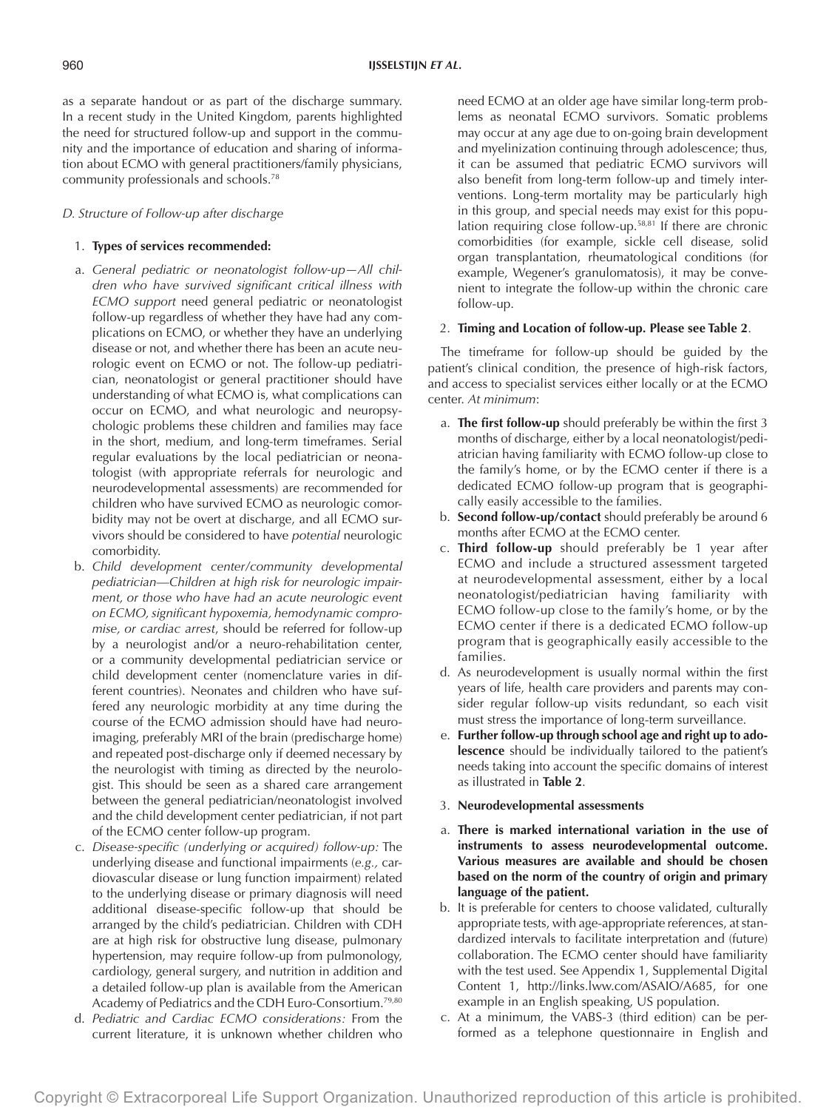as a separate handout or as part of the discharge summary. In a recent study in the United Kingdom, parents highlighted the need for structured follow-up and support in the community and the importance of education and sharing of information about ECMO with general practitioners/family physicians, community professionals and schools.78

## *D. Structure of Follow-up after discharge*

## 1. **Types of services recommended:**

- a. *General pediatric or neonatologist follow-up—All children who have survived significant critical illness with ECMO support* need general pediatric or neonatologist follow-up regardless of whether they have had any complications on ECMO, or whether they have an underlying disease or not, and whether there has been an acute neurologic event on ECMO or not. The follow-up pediatrician, neonatologist or general practitioner should have understanding of what ECMO is, what complications can occur on ECMO, and what neurologic and neuropsychologic problems these children and families may face in the short, medium, and long-term timeframes. Serial regular evaluations by the local pediatrician or neonatologist (with appropriate referrals for neurologic and neurodevelopmental assessments) are recommended for children who have survived ECMO as neurologic comorbidity may not be overt at discharge, and all ECMO survivors should be considered to have *potential* neurologic comorbidity.
- b. *Child development center/community developmental pediatrician*—*Children at high risk for neurologic impairment, or those who have had an acute neurologic event on ECMO, significant hypoxemia, hemodynamic compromise, or cardiac arrest*, should be referred for follow-up by a neurologist and/or a neuro-rehabilitation center, or a community developmental pediatrician service or child development center (nomenclature varies in different countries). Neonates and children who have suffered any neurologic morbidity at any time during the course of the ECMO admission should have had neuroimaging, preferably MRI of the brain (predischarge home) and repeated post-discharge only if deemed necessary by the neurologist with timing as directed by the neurologist. This should be seen as a shared care arrangement between the general pediatrician/neonatologist involved and the child development center pediatrician, if not part of the ECMO center follow-up program.
- c. *Disease-specific (underlying or acquired) follow-up:* The underlying disease and functional impairments (*e.g.,* cardiovascular disease or lung function impairment) related to the underlying disease or primary diagnosis will need additional disease-specific follow-up that should be arranged by the child's pediatrician. Children with CDH are at high risk for obstructive lung disease, pulmonary hypertension, may require follow-up from pulmonology, cardiology, general surgery, and nutrition in addition and a detailed follow-up plan is available from the American Academy of Pediatrics and the CDH Euro-Consortium.79,80
- d. *Pediatric and Cardiac ECMO considerations:* From the current literature, it is unknown whether children who

need ECMO at an older age have similar long-term problems as neonatal ECMO survivors. Somatic problems may occur at any age due to on-going brain development and myelinization continuing through adolescence; thus, it can be assumed that pediatric ECMO survivors will also benefit from long-term follow-up and timely interventions. Long-term mortality may be particularly high in this group, and special needs may exist for this population requiring close follow-up.58,81 If there are chronic comorbidities (for example, sickle cell disease, solid organ transplantation, rheumatological conditions (for example, Wegener's granulomatosis), it may be convenient to integrate the follow-up within the chronic care follow-up.

### 2. **Timing and Location of follow-up. Please see Table 2**.

The timeframe for follow-up should be guided by the patient's clinical condition, the presence of high-risk factors, and access to specialist services either locally or at the ECMO center. *At minimum*:

- a. **The first follow-up** should preferably be within the first 3 months of discharge, either by a local neonatologist/pediatrician having familiarity with ECMO follow-up close to the family's home, or by the ECMO center if there is a dedicated ECMO follow-up program that is geographically easily accessible to the families.
- b. **Second follow-up/contact** should preferably be around 6 months after ECMO at the ECMO center.
- c. **Third follow-up** should preferably be 1 year after ECMO and include a structured assessment targeted at neurodevelopmental assessment, either by a local neonatologist/pediatrician having familiarity with ECMO follow-up close to the family's home, or by the ECMO center if there is a dedicated ECMO follow-up program that is geographically easily accessible to the families.
- d. As neurodevelopment is usually normal within the first years of life, health care providers and parents may consider regular follow-up visits redundant, so each visit must stress the importance of long-term surveillance.
- e. **Further follow-up through school age and right up to adolescence** should be individually tailored to the patient's needs taking into account the specific domains of interest as illustrated in **Table 2**.
- 3. **Neurodevelopmental assessments**
- a. **There is marked international variation in the use of instruments to assess neurodevelopmental outcome. Various measures are available and should be chosen based on the norm of the country of origin and primary language of the patient.**
- b. It is preferable for centers to choose validated, culturally appropriate tests, with age-appropriate references, at standardized intervals to facilitate interpretation and (future) collaboration. The ECMO center should have familiarity with the test used. See Appendix 1, Supplemental Digital Content 1, <http://links.lww.com/ASAIO/A685>, for one example in an English speaking, US population.
- c. At a minimum, the VABS-3 (third edition) can be performed as a telephone questionnaire in English and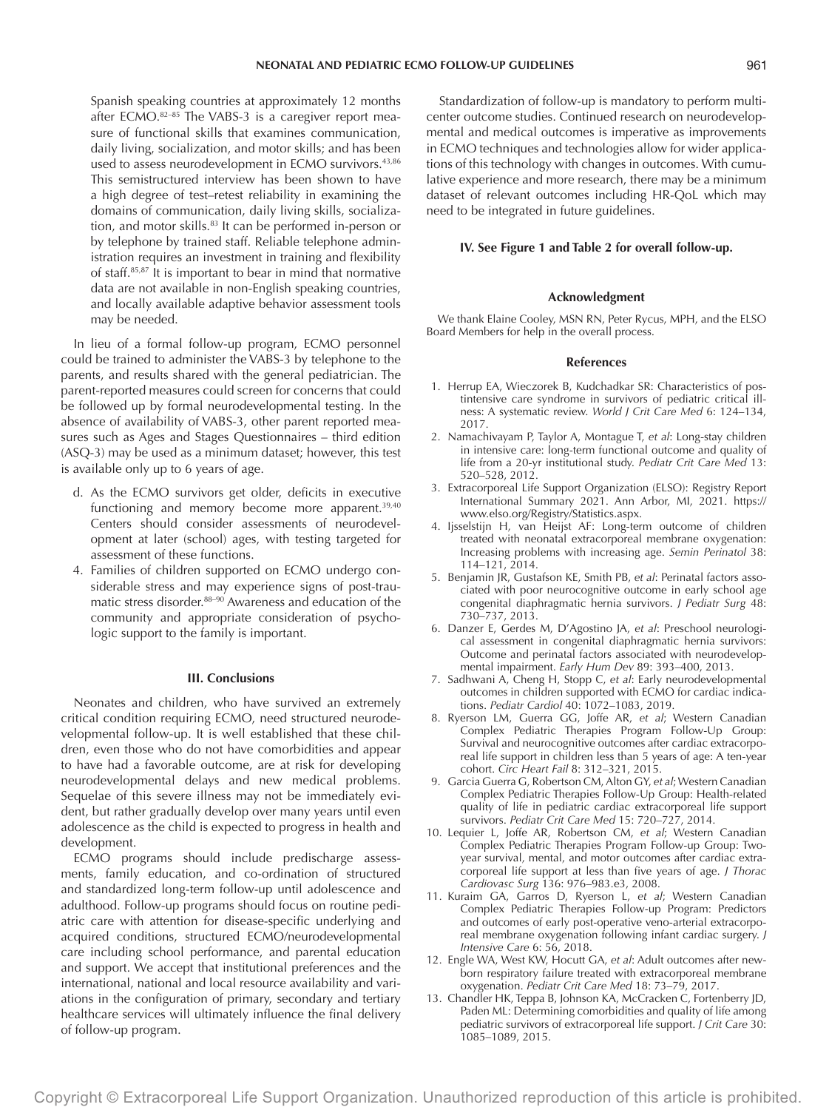Spanish speaking countries at approximately 12 months after ECMO.<sup>82-85</sup> The VABS-3 is a caregiver report measure of functional skills that examines communication, daily living, socialization, and motor skills; and has been used to assess neurodevelopment in ECMO survivors.<sup>43,86</sup> This semistructured interview has been shown to have a high degree of test–retest reliability in examining the domains of communication, daily living skills, socialization, and motor skills.<sup>83</sup> It can be performed in-person or by telephone by trained staff. Reliable telephone administration requires an investment in training and flexibility of staff.85,87 It is important to bear in mind that normative data are not available in non-English speaking countries, and locally available adaptive behavior assessment tools may be needed.

In lieu of a formal follow-up program, ECMO personnel could be trained to administer the VABS-3 by telephone to the parents, and results shared with the general pediatrician. The parent-reported measures could screen for concerns that could be followed up by formal neurodevelopmental testing. In the absence of availability of VABS-3, other parent reported measures such as Ages and Stages Questionnaires – third edition (ASQ-3) may be used as a minimum dataset; however, this test is available only up to 6 years of age.

- d. As the ECMO survivors get older, deficits in executive functioning and memory become more apparent.<sup>39,40</sup> Centers should consider assessments of neurodevelopment at later (school) ages, with testing targeted for assessment of these functions.
- 4. Families of children supported on ECMO undergo considerable stress and may experience signs of post-traumatic stress disorder.88–90 Awareness and education of the community and appropriate consideration of psychologic support to the family is important.

## **III. Conclusions**

Neonates and children, who have survived an extremely critical condition requiring ECMO, need structured neurodevelopmental follow-up. It is well established that these children, even those who do not have comorbidities and appear to have had a favorable outcome, are at risk for developing neurodevelopmental delays and new medical problems. Sequelae of this severe illness may not be immediately evident, but rather gradually develop over many years until even adolescence as the child is expected to progress in health and development.

ECMO programs should include predischarge assessments, family education, and co-ordination of structured and standardized long-term follow-up until adolescence and adulthood. Follow-up programs should focus on routine pediatric care with attention for disease-specific underlying and acquired conditions, structured ECMO/neurodevelopmental care including school performance, and parental education and support. We accept that institutional preferences and the international, national and local resource availability and variations in the configuration of primary, secondary and tertiary healthcare services will ultimately influence the final delivery of follow-up program.

Standardization of follow-up is mandatory to perform multicenter outcome studies. Continued research on neurodevelopmental and medical outcomes is imperative as improvements in ECMO techniques and technologies allow for wider applications of this technology with changes in outcomes. With cumulative experience and more research, there may be a minimum dataset of relevant outcomes including HR-QoL which may need to be integrated in future guidelines.

## **IV. See Figure 1 and Table 2 for overall follow-up.**

#### **Acknowledgment**

We thank Elaine Cooley, MSN RN, Peter Rycus, MPH, and the ELSO Board Members for help in the overall process.

#### **References**

- 1. Herrup EA, Wieczorek B, Kudchadkar SR: Characteristics of postintensive care syndrome in survivors of pediatric critical illness: A systematic review. *World J Crit Care Med* 6: 124–134, 2017.
- 2. Namachivayam P, Taylor A, Montague T, *et al*: Long-stay children in intensive care: long-term functional outcome and quality of life from a 20-yr institutional study. *Pediatr Crit Care Med* 13: 520–528, 2012.
- 3. Extracorporeal Life Support Organization (ELSO): Registry Report International Summary 2021. Ann Arbor, MI, 2021. [https://](https://www.elso.org/Registry/Statistics.aspx) [www.elso.org/Registry/Statistics.aspx](https://www.elso.org/Registry/Statistics.aspx).
- 4. Ijsselstijn H, van Heijst AF: Long-term outcome of children treated with neonatal extracorporeal membrane oxygenation: Increasing problems with increasing age. *Semin Perinatol* 38: 114–121, 2014.
- 5. Benjamin JR, Gustafson KE, Smith PB, *et al*: Perinatal factors associated with poor neurocognitive outcome in early school age congenital diaphragmatic hernia survivors. *J Pediatr Surg* 48: 730–737, 2013.
- 6. Danzer E, Gerdes M, D'Agostino JA, *et al*: Preschool neurological assessment in congenital diaphragmatic hernia survivors: Outcome and perinatal factors associated with neurodevelopmental impairment. *Early Hum Dev* 89: 393–400, 2013.
- 7. Sadhwani A, Cheng H, Stopp C, *et al*: Early neurodevelopmental outcomes in children supported with ECMO for cardiac indications. *Pediatr Cardiol* 40: 1072–1083, 2019.
- 8. Ryerson LM, Guerra GG, Joffe AR, *et al*; Western Canadian Complex Pediatric Therapies Program Follow-Up Group: Survival and neurocognitive outcomes after cardiac extracorporeal life support in children less than 5 years of age: A ten-year cohort. *Circ Heart Fail* 8: 312–321, 2015.
- 9. Garcia Guerra G, Robertson CM, Alton GY, *et al*; Western Canadian Complex Pediatric Therapies Follow-Up Group: Health-related quality of life in pediatric cardiac extracorporeal life support survivors. *Pediatr Crit Care Med* 15: 720–727, 2014.
- 10. Lequier L, Joffe AR, Robertson CM, *et al*; Western Canadian Complex Pediatric Therapies Program Follow-up Group: Twoyear survival, mental, and motor outcomes after cardiac extracorporeal life support at less than five years of age. *J Thorac Cardiovasc Surg* 136: 976–983.e3, 2008.
- 11. Kuraim GA, Garros D, Ryerson L, *et al*; Western Canadian Complex Pediatric Therapies Follow-up Program: Predictors and outcomes of early post-operative veno-arterial extracorporeal membrane oxygenation following infant cardiac surgery. *J Intensive Care* 6: 56, 2018.
- 12. Engle WA, West KW, Hocutt GA, *et al*: Adult outcomes after newborn respiratory failure treated with extracorporeal membrane oxygenation. *Pediatr Crit Care Med* 18: 73–79, 2017.
- 13. Chandler HK, Teppa B, Johnson KA, McCracken C, Fortenberry JD, Paden ML: Determining comorbidities and quality of life among pediatric survivors of extracorporeal life support. *J Crit Care* 30: 1085–1089, 2015.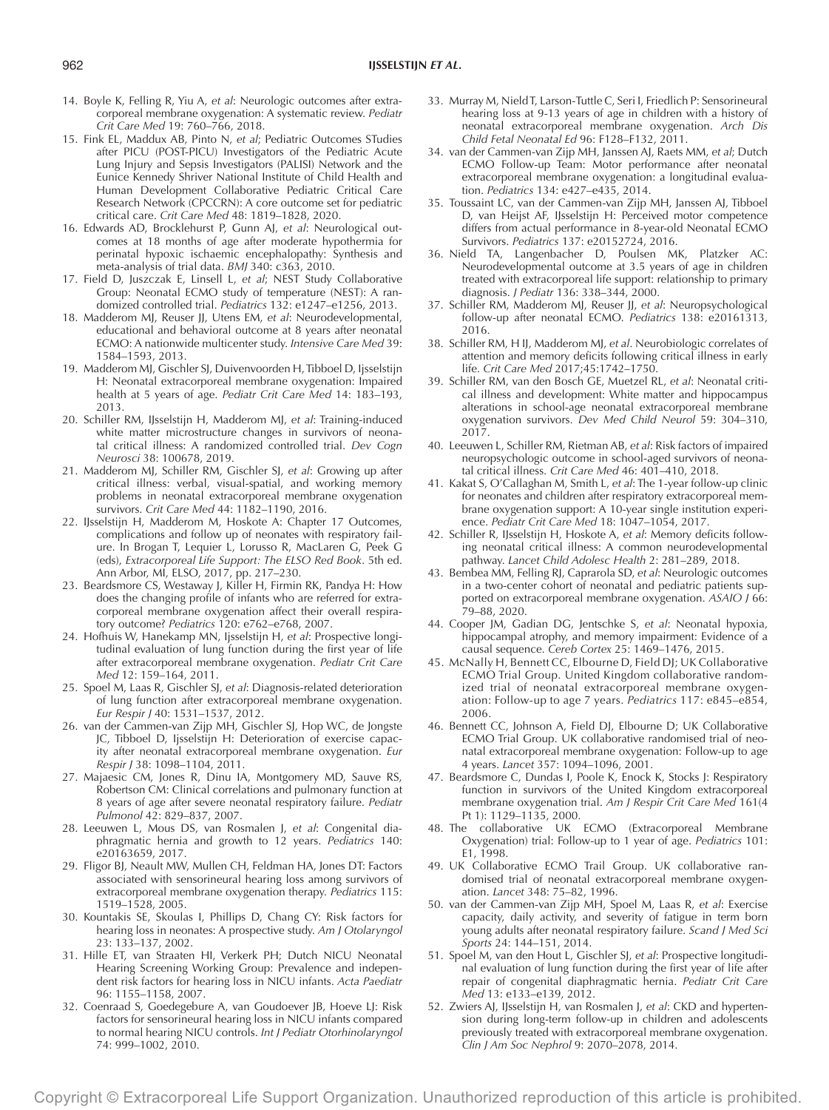- 14. Boyle K, Felling R, Yiu A, *et al*: Neurologic outcomes after extracorporeal membrane oxygenation: A systematic review. *Pediatr Crit Care Med* 19: 760–766, 2018.
- 15. Fink EL, Maddux AB, Pinto N, *et al*; Pediatric Outcomes STudies after PICU (POST-PICU) Investigators of the Pediatric Acute Lung Injury and Sepsis Investigators (PALISI) Network and the Eunice Kennedy Shriver National Institute of Child Health and Human Development Collaborative Pediatric Critical Care Research Network (CPCCRN): A core outcome set for pediatric critical care. *Crit Care Med* 48: 1819–1828, 2020.
- 16. Edwards AD, Brocklehurst P, Gunn AJ, *et al*: Neurological outcomes at 18 months of age after moderate hypothermia for perinatal hypoxic ischaemic encephalopathy: Synthesis and meta-analysis of trial data. *BMJ* 340: c363, 2010.
- 17. Field D, Juszczak E, Linsell L, *et al*; NEST Study Collaborative Group: Neonatal ECMO study of temperature (NEST): A randomized controlled trial. *Pediatrics* 132: e1247–e1256, 2013.
- 18. Madderom MJ, Reuser JJ, Utens EM, *et al*: Neurodevelopmental, educational and behavioral outcome at 8 years after neonatal ECMO: A nationwide multicenter study. *Intensive Care Med* 39: 1584–1593, 2013.
- 19. Madderom MJ, Gischler SJ, Duivenvoorden H, Tibboel D, Ijsselstijn H: Neonatal extracorporeal membrane oxygenation: Impaired health at 5 years of age. *Pediatr Crit Care Med* 14: 183–193, 2013.
- 20. Schiller RM, IJsselstijn H, Madderom MJ, *et al*: Training-induced white matter microstructure changes in survivors of neonatal critical illness: A randomized controlled trial. *Dev Cogn Neurosci* 38: 100678, 2019.
- 21. Madderom MJ, Schiller RM, Gischler SJ, *et al*: Growing up after critical illness: verbal, visual-spatial, and working memory problems in neonatal extracorporeal membrane oxygenation survivors. *Crit Care Med* 44: 1182–1190, 2016.
- 22. IJsselstijn H, Madderom M, Hoskote A: Chapter 17 Outcomes, complications and follow up of neonates with respiratory failure. In Brogan T, Lequier L, Lorusso R, MacLaren G, Peek G (eds), *Extracorporeal Life Support: The ELSO Red Book*. 5th ed. Ann Arbor, MI, ELSO, 2017, pp. 217–230.
- 23. Beardsmore CS, Westaway J, Killer H, Firmin RK, Pandya H: How does the changing profile of infants who are referred for extracorporeal membrane oxygenation affect their overall respiratory outcome? *Pediatrics* 120: e762–e768, 2007.
- 24. Hofhuis W, Hanekamp MN, Ijsselstijn H, *et al*: Prospective longitudinal evaluation of lung function during the first year of life after extracorporeal membrane oxygenation. *Pediatr Crit Care Med* 12: 159–164, 2011.
- 25. Spoel M, Laas R, Gischler SJ, *et al*: Diagnosis-related deterioration of lung function after extracorporeal membrane oxygenation. *Eur Respir J* 40: 1531–1537, 2012.
- 26. van der Cammen-van Zijp MH, Gischler SJ, Hop WC, de Jongste JC, Tibboel D, Ijsselstijn H: Deterioration of exercise capacity after neonatal extracorporeal membrane oxygenation. *Eur Respir J* 38: 1098–1104, 2011.
- 27. Majaesic CM, Jones R, Dinu IA, Montgomery MD, Sauve RS, Robertson CM: Clinical correlations and pulmonary function at 8 years of age after severe neonatal respiratory failure. *Pediatr Pulmonol* 42: 829–837, 2007.
- 28. Leeuwen L, Mous DS, van Rosmalen J, *et al*: Congenital diaphragmatic hernia and growth to 12 years. *Pediatrics* 140: e20163659, 2017.
- 29. Fligor BJ, Neault MW, Mullen CH, Feldman HA, Jones DT: Factors associated with sensorineural hearing loss among survivors of extracorporeal membrane oxygenation therapy. *Pediatrics* 115: 1519–1528, 2005.
- 30. Kountakis SE, Skoulas I, Phillips D, Chang CY: Risk factors for hearing loss in neonates: A prospective study. *Am J Otolaryngol* 23: 133–137, 2002.
- 31. Hille ET, van Straaten HI, Verkerk PH; Dutch NICU Neonatal Hearing Screening Working Group: Prevalence and independent risk factors for hearing loss in NICU infants. *Acta Paediatr* 96: 1155–1158, 2007.
- 32. Coenraad S, Goedegebure A, van Goudoever JB, Hoeve LJ: Risk factors for sensorineural hearing loss in NICU infants compared to normal hearing NICU controls. *Int J Pediatr Otorhinolaryngol* 74: 999–1002, 2010.
- 33. Murray M, Nield T, Larson-Tuttle C, Seri I, Friedlich P: Sensorineural hearing loss at 9-13 years of age in children with a history of neonatal extracorporeal membrane oxygenation. *Arch Dis Child Fetal Neonatal Ed* 96: F128–F132, 2011.
- 34. van der Cammen-van Zijp MH, Janssen AJ, Raets MM, *et al*; Dutch ECMO Follow-up Team: Motor performance after neonatal extracorporeal membrane oxygenation: a longitudinal evaluation. *Pediatrics* 134: e427–e435, 2014.
- 35. Toussaint LC, van der Cammen-van Zijp MH, Janssen AJ, Tibboel D, van Heijst AF, IJsselstijn H: Perceived motor competence differs from actual performance in 8-year-old Neonatal ECMO Survivors. *Pediatrics* 137: e20152724, 2016.
- 36. Nield TA, Langenbacher D, Poulsen MK, Platzker AC: Neurodevelopmental outcome at 3.5 years of age in children treated with extracorporeal life support: relationship to primary diagnosis. *J Pediatr* 136: 338–344, 2000.
- 37. Schiller RM, Madderom MJ, Reuser JJ, *et al*: Neuropsychological follow-up after neonatal ECMO. *Pediatrics* 138: e20161313, 2016.
- 38. Schiller RM, H IJ, Madderom MJ, *et al*. Neurobiologic correlates of attention and memory deficits following critical illness in early life. *Crit Care Med* 2017;45:1742–1750.
- 39. Schiller RM, van den Bosch GE, Muetzel RL, *et al*: Neonatal critical illness and development: White matter and hippocampus alterations in school-age neonatal extracorporeal membrane oxygenation survivors. *Dev Med Child Neurol* 59: 304–310, 2017.
- 40. Leeuwen L, Schiller RM, Rietman AB, *et al*: Risk factors of impaired neuropsychologic outcome in school-aged survivors of neonatal critical illness. *Crit Care Med* 46: 401–410, 2018.
- 41. Kakat S, O'Callaghan M, Smith L, *et al*: The 1-year follow-up clinic for neonates and children after respiratory extracorporeal membrane oxygenation support: A 10-year single institution experience. *Pediatr Crit Care Med* 18: 1047–1054, 2017.
- 42. Schiller R, IJsselstijn H, Hoskote A, *et al*: Memory deficits following neonatal critical illness: A common neurodevelopmental pathway. *Lancet Child Adolesc Health* 2: 281–289, 2018.
- 43. Bembea MM, Felling RJ, Caprarola SD, *et al*: Neurologic outcomes in a two-center cohort of neonatal and pediatric patients supported on extracorporeal membrane oxygenation. *ASAIO J* 66: 79–88, 2020.
- 44. Cooper JM, Gadian DG, Jentschke S, *et al*: Neonatal hypoxia, hippocampal atrophy, and memory impairment: Evidence of a causal sequence. *Cereb Cortex* 25: 1469–1476, 2015.
- 45. McNally H, Bennett CC, Elbourne D, Field DJ; UK Collaborative ECMO Trial Group. United Kingdom collaborative randomized trial of neonatal extracorporeal membrane oxygenation: Follow-up to age 7 years. *Pediatrics* 117: e845–e854, 2006.
- 46. Bennett CC, Johnson A, Field DJ, Elbourne D; UK Collaborative ECMO Trial Group. UK collaborative randomised trial of neonatal extracorporeal membrane oxygenation: Follow-up to age 4 years. *Lancet* 357: 1094–1096, 2001.
- 47. Beardsmore C, Dundas I, Poole K, Enock K, Stocks J: Respiratory function in survivors of the United Kingdom extracorporeal membrane oxygenation trial. *Am J Respir Crit Care Med* 161(4 Pt 1): 1129–1135, 2000.
- 48. The collaborative UK ECMO (Extracorporeal Membrane Oxygenation) trial: Follow-up to 1 year of age. *Pediatrics* 101: E1, 1998.
- 49. UK Collaborative ECMO Trail Group. UK collaborative randomised trial of neonatal extracorporeal membrane oxygenation. *Lancet* 348: 75–82, 1996.
- 50. van der Cammen-van Zijp MH, Spoel M, Laas R, *et al*: Exercise capacity, daily activity, and severity of fatigue in term born young adults after neonatal respiratory failure. *Scand J Med Sci Sports* 24: 144–151, 2014.
- 51. Spoel M, van den Hout L, Gischler SJ, *et al*: Prospective longitudinal evaluation of lung function during the first year of life after repair of congenital diaphragmatic hernia. *Pediatr Crit Care Med* 13: e133–e139, 2012.
- 52. Zwiers AJ, IJsselstijn H, van Rosmalen J, *et al*: CKD and hypertension during long-term follow-up in children and adolescents previously treated with extracorporeal membrane oxygenation. *Clin J Am Soc Nephrol* 9: 2070–2078, 2014.